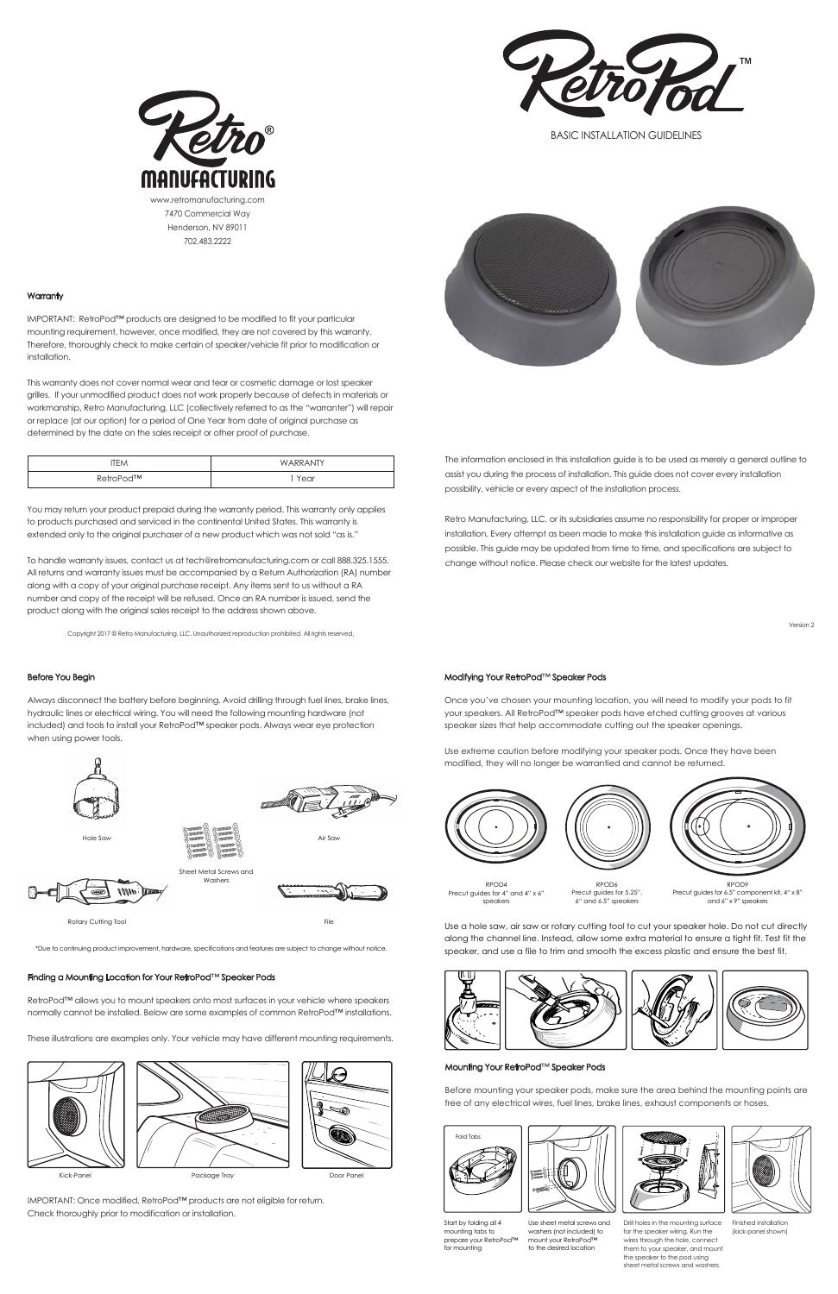The information enclosed in this installation guide is to be used as merely a general outline to assist you during the process of installation. This guide does not cover every installation possibility, vehicle or every aspect of the installation process.

Retro Manufacturing, LLC, or its subsidiaries assume no responsibility for proper or improper installation. Every attempt as been made to make this installation guide as informative as possible. This guide may be updated from time to time, and specifications are subject to change without notice. Please check our website for the latest updates.

IMPORTANT: RetroPod™ products are designed to be modified to fit your particular mounting requirement, however, once modified, they are not covered by this warranty. Therefore, thoroughly check to make certain of speaker/vehicle fit prior to modification or installation.

You may return your product prepaid during the warranty period. This warranty only applies to products purchased and serviced in the continental United States. This warranty is extended only to the original purchaser of a new product which was not sold "as is."

This warranty does not cover normal wear and tear or cosmetic damage or lost speaker grilles. If your unmodified product does not work properly because of defects in materials or workmanship, Retro Manufacturing, LLC (collectively referred to as the "warranter") will repair or replace (at our option) for a period of One Year from date of original purchase as determined by the date on the sales receipt or other proof of purchase.

To handle warranty issues, contact us at tech@retromanufacturing.com or call 888.325.1555. All returns and warranty issues must be accompanied by a Return Authorization (RA) number along with a copy of your original purchase receipt. Any items sent to us without a RA number and copy of the receipt will be refused. Once an RA number is issued, send the product along with the original sales receipt to the address shown above.

# Before You Begin

Always disconnect the battery before beginning. Avoid drilling through fuel lines, brake lines, hydraulic lines or electrical wiring. You will need the following mounting hardware (not included) and tools to install your RetroPod™ speaker pods. Always wear eye protection when using power tools.

> Metal Screws and Washers



# Modifying Your RetroPod™ Speaker Pods

Once you've chosen your mounting location, you will need to modify your pods to fit your speakers. All RetroPod™ speaker pods have etched cutting grooves at various speaker sizes that help accommodate cutting out the speaker openings.

Use extreme caution before modifying your speaker pods. Once they have been modified, they will no longer be warrantied and cannot be returned.







# Mounting Your RetroPod™ Speaker Pods

Before mounting your speaker pods, make sure the area behind the mounting points are free of any electrical wires, fuel lines, brake lines, exhaust components or hoses.

> Drill holes in the mounting surface for the speaker wiring. Run the wires through the hole, connect them to your speaker, and mount the speaker to the pod using sheet metal screws and washers.

Finished installation (kick-panel shown)

#### Finding a Mounting Location for Your RetroPod™ Speaker Pods

**WWW Dans** 

RetroPod™ allows you to mount speakers onto most surfaces in your vehicle where speakers normally cannot be installed. Below are some examples of common RetroPod™ installations.

These illustrations are examples only. Your vehicle may have different mounting requirements.

IMPORTANT: Once modified, RetroPod™ products are not eligible for return. Check thoroughly prior to modification or installation.





# **Warranty**



BASIC INSTALLATION GUIDELINES

Version 2

Copyright 2017 © Retro Manufacturing, LLC. Unauthorized reproduction prohibited. All rights reserved.



| <b>TFM</b> | WARRANTY |
|------------|----------|
| RetroPod™  | Year     |



Hole Saw



RPOD4 Precut guides for 4" and 4" x 6" speakers

Use a hole saw, air saw or rotary cutting tool to cut your speaker hole. Do not cut directly along the channel line. Instead, allow some extra material to ensure a tight fit. Test fit the speaker, and use a file to trim and smooth the excess plastic and ensure the best fit.

Start by folding all 4 mounting tabs to prepare your RetroPod™ for mounting

Fold Tabs

Use sheet metal screws and washers (not included) to mount your RetroPod™ to the desired location





RPOD6 Precut guides for 5.25", 6" and 6.5" speakers

RPOD9 Precut guides for 6.5" component kit, 4" x 8" and 6" x 9" speakers



Air Saw

#### Rotary Cutting Tool File

\*Due to continuing product improvement, hardware, specifications and features are subject to change without notice.